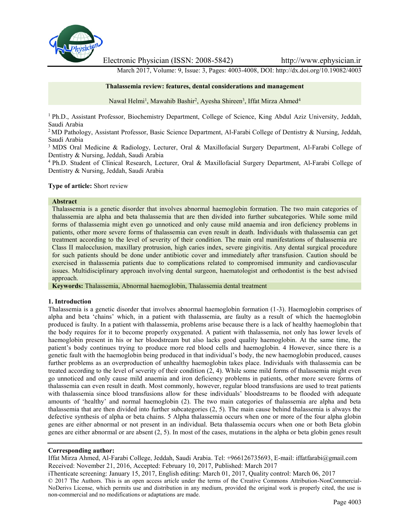

Electronic Physician (ISSN: 2008-5842) http://www.ephysician.ir

March 2017, Volume: 9, Issue: 3, Pages: 4003-4008, DOI: http://dx.doi.org/10.19082/4003

#### **Thalassemia review: features, dental considerations and management**

Nawal Helmi<sup>1</sup>, Mawahib Bashir<sup>2</sup>, Ayesha Shireen<sup>3</sup>, Iffat Mirza Ahmed<sup>4</sup>

<sup>1</sup> Ph.D., Assistant Professor, Biochemistry Department, College of Science, King Abdul Aziz University, Jeddah, Saudi Arabia

<sup>2</sup> MD Pathology, Assistant Professor, Basic Science Department, Al-Farabi College of Dentistry & Nursing, Jeddah, Saudi Arabia

<sup>3</sup> MDS Oral Medicine & Radiology, Lecturer, Oral & Maxillofacial Surgery Department, Al-Farabi College of Dentistry & Nursing, Jeddah, Saudi Arabia

<sup>4</sup> Ph.D. Student of Clinical Research, Lecturer, Oral & Maxillofacial Surgery Department, Al-Farabi College of Dentistry & Nursing, Jeddah, Saudi Arabia

#### **Type of article:** Short review

#### **Abstract**

Thalassemia is a genetic disorder that involves abnormal haemoglobin formation. The two main categories of thalassemia are alpha and beta thalassemia that are then divided into further subcategories. While some mild forms of thalassemia might even go unnoticed and only cause mild anaemia and iron deficiency problems in patients, other more severe forms of thalassemia can even result in death. Individuals with thalassemia can get treatment according to the level of severity of their condition. The main oral manifestations of thalassemia are Class II malocclusion, maxillary protrusion, high caries index, severe gingivitis. Any dental surgical procedure for such patients should be done under antibiotic cover and immediately after transfusion. Caution should be exercised in thalassemia patients due to complications related to compromised immunity and cardiovascular issues. Multidisciplinary approach involving dental surgeon, haematologist and orthodontist is the best advised approach.

**Keywords:** Thalassemia, Abnormal haemoglobin, Thalassemia dental treatment

#### **1. Introduction**

Thalassemia is a genetic disorder that involves abnormal haemoglobin formation (1-3). Haemoglobin comprises of alpha and beta 'chains' which, in a patient with thalassemia, are faulty as a result of which the haemoglobin produced is faulty. In a patient with thalassemia, problems arise because there is a lack of healthy haemoglobin that the body requires for it to become properly oxygenated. A patient with thalassemia, not only has lower levels of haemoglobin present in his or her bloodstream but also lacks good quality haemoglobin. At the same time, the patient's body continues trying to produce more red blood cells and haemoglobin. 4 However, since there is a genetic fault with the haemoglobin being produced in that individual's body, the new haemoglobin produced, causes further problems as an overproduction of unhealthy haemoglobin takes place. Individuals with thalassemia can be treated according to the level of severity of their condition (2, 4). While some mild forms of thalassemia might even go unnoticed and only cause mild anaemia and iron deficiency problems in patients, other more severe forms of thalassemia can even result in death. Most commonly, however, regular blood transfusions are used to treat patients with thalassemia since blood transfusions allow for these individuals' bloodstreams to be flooded with adequate amounts of 'healthy' and normal haemoglobin (2). The two main categories of thalassemia are alpha and beta thalassemia that are then divided into further subcategories (2, 5). The main cause behind thalassemia is always the defective synthesis of alpha or beta chains. 5 Alpha thalassemia occurs when one or more of the four alpha globin genes are either abnormal or not present in an individual. Beta thalassemia occurs when one or both Beta globin genes are either abnormal or are absent (2, 5). In most of the cases, mutations in the alpha or beta globin genes result

#### **Corresponding author:**

Iffat Mirza Ahmed, Al-Farabi College, Jeddah, Saudi Arabia. Tel: +966126735693, E-mail: iffatfarabi@gmail.com Received: November 21, 2016, Accepted: February 10, 2017, Published: March 2017

iThenticate screening: January 15, 2017, English editing: March 01, 2017, Quality control: March 06, 2017

© 2017 The Authors. This is an open access article under the terms of the Creative Commons Attribution-NonCommercial- NoDerivs License, which permits use and distribution in any medium, provided the original work is properly cited, the use is non-commercial and no modifications or adaptations are made.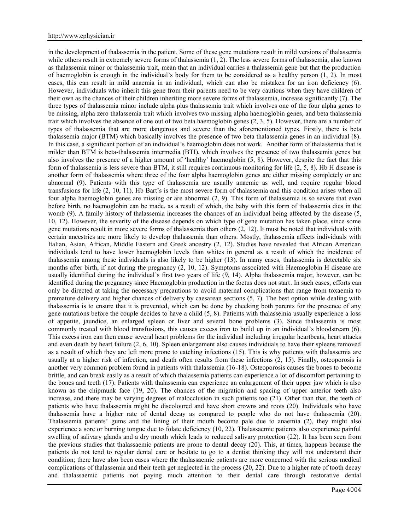in the development of thalassemia in the patient. Some of these gene mutations result in mild versions of thalassemia while others result in extremely severe forms of thalassemia (1, 2). The less severe forms of thalassemia, also known as thalassemia minor or thalassemia trait, mean that an individual carries a thalassemia gene but that the production of haemoglobin is enough in the individual's body for them to be considered as a healthy person (1, 2). In most cases, this can result in mild anaemia in an individual, which can also be mistaken for an iron deficiency (6). However, individuals who inherit this gene from their parents need to be very cautious when they have children of their own as the chances of their children inheriting more severe forms of thalassemia, increase significantly (7). The three types of thalassemia minor include alpha plus thalassemia trait which involves one of the four alpha genes to be missing, alpha zero thalassemia trait which involves two missing alpha haemoglobin genes, and beta thalassemia trait which involves the absence of one out of two beta haemoglobin genes (2, 3, 5). However, there are a number of types of thalassemia that are more dangerous and severe than the aforementioned types. Firstly, there is beta thalassemia major (BTM) which basically involves the presence of two beta thalassemia genes in an individual (8). In this case, a significant portion of an individual's haemoglobin does not work. Another form of thalassemia that is milder than BTM is beta-thalassemia intermedia (BTI), which involves the presence of two thalassemia genes but also involves the presence of a higher amount of 'healthy' haemoglobin (5, 8). However, despite the fact that this form of thalassemia is less severe than BTM, it still requires continuous monitoring for life (2, 5, 8). Hb H disease is another form of thalassemia where three of the four alpha haemoglobin genes are either missing completely or are abnormal (9). Patients with this type of thalassemia are usually anaemic as well, and require regular blood transfusions for life (2, 10, 11). Hb Bart's is the most severe form of thalassemia and this condition arises when all four alpha haemoglobin genes are missing or are abnormal (2, 9). This form of thalassemia is so severe that even before birth, no haemoglobin can be made, as a result of which, the baby with this form of thalassemia dies in the womb (9). A family history of thalassemia increases the chances of an individual being affected by the disease (5, 10, 12). However, the severity of the disease depends on which type of gene mutation has taken place, since some gene mutations result in more severe forms of thalassemia than others (2, 12). It must be noted that individuals with certain ancestries are more likely to develop thalassemia than others. Mostly, thalassemia affects individuals with Italian, Asian, African, Middle Eastern and Greek ancestry (2, 12). Studies have revealed that African American individuals tend to have lower haemoglobin levels than whites in general as a result of which the incidence of thalassemia among these individuals is also likely to be higher (13). In many cases, thalassemia is detectable six months after birth, if not during the pregnancy (2, 10, 12). Symptoms associated with Haemoglobin H disease are usually identified during the individual's first two years of life (9, 14). Alpha thalassemia major, however, can be identified during the pregnancy since Haemoglobin production in the foetus does not start. In such cases, efforts can only be directed at taking the necessary precautions to avoid maternal complications that range from toxaemia to premature delivery and higher chances of delivery by caesarean sections (5, 7). The best option while dealing with thalassemia is to ensure that it is prevented, which can be done by checking both parents for the presence of any gene mutations before the couple decides to have a child (5, 8). Patients with thalassemia usually experience a loss of appetite, jaundice, an enlarged spleen or liver and several bone problems (3). Since thalassemia is most commonly treated with blood transfusions, this causes excess iron to build up in an individual's bloodstream (6). This excess iron can then cause several heart problems for the individual including irregular heartbeats, heart attacks and even death by heart failure (2, 6, 10). Spleen enlargement also causes individuals to have their spleens removed as a result of which they are left more prone to catching infections (15). This is why patients with thalassemia are usually at a higher risk of infection, and death often results from these infections (2, 15). Finally, osteoporosis is another very common problem found in patients with thalassemia (16-18). Osteoporosis causes the bones to become brittle, and can break easily as a result of which thalassemia patients can experience a lot of discomfort pertaining to the bones and teeth (17). Patients with thalassemia can experience an enlargement of their upper jaw which is also known as the chipmunk face (19, 20). The chances of the migration and spacing of upper anterior teeth also increase, and there may be varying degrees of malocclusion in such patients too (21). Other than that, the teeth of patients who have thalassemia might be discoloured and have short crowns and roots (20). Individuals who have thalassemia have a higher rate of dental decay as compared to people who do not have thalassemia (20). Thalassemia patients' gums and the lining of their mouth become pale due to anaemia (2), they might also experience a sore or burning tongue due to folate deficiency (10, 22). Thalassaemic patients also experience painful swelling of salivary glands and a dry mouth which leads to reduced salivary protection (22). It has been seen from the previous studies that thalassaemic patients are prone to dental decay (20). This, at times, happens because the patients do not tend to regular dental care or hesitate to go to a dentist thinking they will not understand their condition; there have also been cases where the thalassaemic patients are more concerned with the serious medical complications of thalassemia and their teeth get neglected in the process (20, 22). Due to a higher rate of tooth decay and thalassaemic patients not paying much attention to their dental care through restorative dental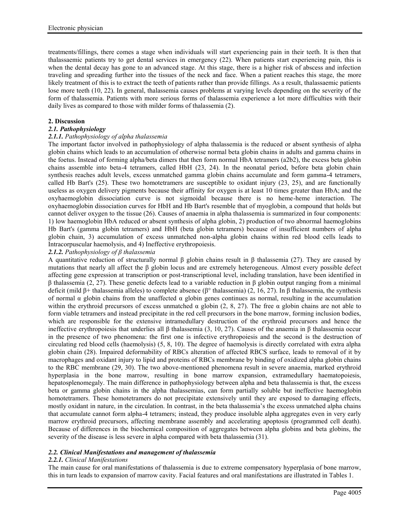treatments/fillings, there comes a stage when individuals will start experiencing pain in their teeth. It is then that thalassaemic patients try to get dental services in emergency (22). When patients start experiencing pain, this is when the dental decay has gone to an advanced stage. At this stage, there is a higher risk of abscess and infection traveling and spreading further into the tissues of the neck and face. When a patient reaches this stage, the more likely treatment of this is to extract the teeth of patients rather than provide fillings. As a result, thalassaemic patients lose more teeth (10, 22). In general, thalassemia causes problems at varying levels depending on the severity of the form of thalassemia. Patients with more serious forms of thalassemia experience a lot more difficulties with their daily lives as compared to those with milder forms of thalassemia (2).

## **2. Discussion**

# *2.1. Pathophysiology*

## *2.1.1. Pathophysiology of alpha thalassemia*

The important factor involved in pathophysiology of alpha thalassemia is the reduced or absent synthesis of alpha globin chains which leads to an accumulation of otherwise normal beta globin chains in adults and gamma chains in the foetus. Instead of forming alpha/beta dimers that then form normal HbA tetramers (a2b2), the excess beta globin chains assemble into beta-4 tetramers, called HbH (23, 24). In the neonatal period, before beta globin chain synthesis reaches adult levels, excess unmatched gamma globin chains accumulate and form gamma-4 tetramers, called Hb Bart's (25). These two homotetramers are susceptible to oxidant injury (23, 25), and are functionally useless as oxygen delivery pigments because their affinity for oxygen is at least 10 times greater than HbA; and the oxyhaemoglobin dissociation curve is not sigmoidal because there is no heme-heme interaction. The oxyhaemoglobin dissociation curves for HbH and Hb Bart's resemble that of myoglobin, a compound that holds but cannot deliver oxygen to the tissue (26). Causes of anaemia in alpha thalassemia is summarized in four components: 1) low haemoglobin HbA reduced or absent synthesis of alpha globin, 2) production of two abnormal haemoglobins Hb Bart's (gamma globin tetramers) and HbH (beta globin tetramers) because of insufficient numbers of alpha globin chain, 3) accumulation of excess unmatched non-alpha globin chains within red blood cells leads to Intracorpuscular haemolysis, and 4) Ineffective erythropoiesis.

## *2.1.2. Pathophysiology of β thalassemia*

A quantitative reduction of structurally normal β globin chains result in β thalassemia (27). They are caused by mutations that nearly all affect the β globin locus and are extremely heterogeneous. Almost every possible defect affecting gene expression at transcription or post-transcriptional level, including translation, have been identified in β thalassemia (2, 27). These genetic defects lead to a variable reduction in β globin output ranging from a minimal deficit (mild β+ thalassemia alleles) to complete absence ( $β°$  thalassemia) (2, 16, 27). In β thalassemia, the synthesis of normal α globin chains from the unaffected α globin genes continues as normal, resulting in the accumulation within the erythroid precursors of excess unmatched  $\alpha$  globin (2, 8, 27). The free  $\alpha$  globin chains are not able to form viable tetramers and instead precipitate in the red cell precursors in the bone marrow, forming inclusion bodies, which are responsible for the extensive intramedullary destruction of the erythroid precursors and hence the ineffective erythropoiesis that underlies all β thalassemia (3, 10, 27). Causes of the anaemia in β thalassemia occur in the presence of two phenomena: the first one is infective erythropoiesis and the second is the destruction of circulating red blood cells (haemolysis) (5, 8, 10). The degree of haemolysis is directly correlated with extra alpha globin chain (28). Impaired deformability of RBCs alteration of affected RBCS surface, leads to removal of it by macrophages and oxidant injury to lipid and proteins of RBCs membrane by binding of oxidized alpha globin chains to the RBC membrane (29, 30). The two above-mentioned phenomena result in severe anaemia, marked erythroid hyperplasia in the bone marrow, resulting in bone marrow expansion, extramedullary haematopoiesis, hepatosplenomegaly. The main difference in pathophysiology between alpha and beta thalassemia is that, the excess beta or gamma globin chains in the alpha thalassemias, can form partially soluble but ineffective haemoglobin homotetramers. These homotetramers do not precipitate extensively until they are exposed to damaging effects, mostly oxidant in nature, in the circulation. In contrast, in the beta thalassemia's the excess unmatched alpha chains that accumulate cannot form alpha-4 tetramers; instead, they produce insoluble alpha aggregates even in very early marrow erythroid precursors, affecting membrane assembly and accelerating apoptosis (programmed cell death). Because of differences in the biochemical composition of aggregates between alpha globins and beta globins, the severity of the disease is less severe in alpha compared with beta thalassemia (31).

## *2.2. Clinical Manifestations and management of thalassemia*

## *2.2.1. Clinical Manifestations*

The main cause for oral manifestations of thalassemia is due to extreme compensatory hyperplasia of bone marrow, this in turn leads to expansion of marrow cavity. Facial features and oral manifestations are illustrated in Tables 1.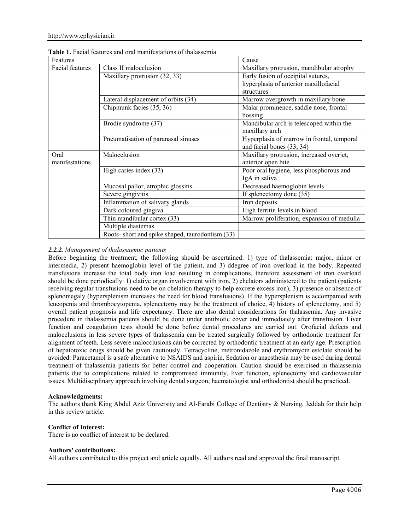| Features               |                                                  | Cause                                                                                     |
|------------------------|--------------------------------------------------|-------------------------------------------------------------------------------------------|
| Facial features        | Class II malocclusion                            | Maxillary protrusion, mandibular atrophy                                                  |
|                        | Maxillary protrusion (32, 33)                    | Early fusion of occipital sutures,<br>hyperplasia of anterior maxillofacial<br>structures |
|                        | Lateral displacement of orbits (34)              | Marrow overgrowth in maxillary bone                                                       |
|                        | Chipmunk facies (35, 36)                         | Malar prominence, saddle nose, frontal<br>bossing                                         |
|                        | Brodie syndrome (37)                             | Mandibular arch is telescoped within the<br>maxillary arch                                |
|                        | Pneumatisation of paranasal sinuses              | Hyperplasia of marrow in frontal, temporal<br>and facial bones (33, 34)                   |
| Oral<br>manifestations | Malocclusion                                     | Maxillary protrusion, increased overjet,<br>anterior open bite                            |
|                        | High caries index (33)                           | Poor oral hygiene, less phosphorous and<br>IgA in saliva                                  |
|                        | Mucosal pallor, atrophic glossitis               | Decreased haemoglobin levels                                                              |
|                        | Severe gingivitis                                | If splenectomy done (35)                                                                  |
|                        | Inflammation of salivary glands                  | Iron deposits                                                                             |
|                        | Dark coloured gingiva                            | High ferritin levels in blood                                                             |
|                        | Thin mandibular cortex (33)                      | Marrow proliferation, expansion of medulla                                                |
|                        | Multiple diastemas                               |                                                                                           |
|                        | Roots- short and spike shaped, taurodontism (33) |                                                                                           |

**Table 1.** Facial features and oral manifestations of thalassemia

# *2.2.2. Management of thalassaemic patients*

Before beginning the treatment, the following should be ascertained: 1) type of thalassemia: major, minor or intermedia, 2) present haemoglobin level of the patient, and 3) ddegree of iron overload in the body. Repeated transfusions increase the total body iron load resulting in complications, therefore assessment of iron overload should be done periodically: 1) elative organ involvement with iron, 2) chelators administered to the patient (patients receiving regular transfusions need to be on chelation therapy to help excrete excess iron), 3) presence or absence of splenomegaly (hypersplenism increases the need for blood transfusions). If the hypersplenism is accompanied with leucopenia and thrombocytopenia, splenectomy may be the treatment of choice, 4) history of splenectomy, and 5) overall patient prognosis and life expectancy. There are also dental considerations for thalassemia. Any invasive procedure in thalassemia patients should be done under antibiotic cover and immediately after transfusion. Liver function and coagulation tests should be done before dental procedures are carried out. Orofacial defects and malocclusions in less severe types of thalassemia can be treated surgically followed by orthodontic treatment for alignment of teeth. Less severe malocclusions can be corrected by orthodontic treatment at an early age. Prescription of hepatotoxic drugs should be given cautiously. Tetracycline, metronidazole and erythromycin estolate should be avoided. Paracetamol is a safe alternative to NSAIDS and aspirin. Sedation or anaesthesia may be used during dental treatment of thalassemia patients for better control and cooperation. Caution should be exercised in thalassemia patients due to complications related to compromised immunity, liver function, splenectomy and cardiovascular issues. Multidisciplinary approach involving dental surgeon, haematologist and orthodontist should be practiced.

## **Acknowledgments:**

The authors thank King Abdul Aziz University and Al-Farabi College of Dentistry & Nursing, Jeddah for their help in this review article.

## **Conflict of Interest:**

There is no conflict of interest to be declared.

#### **Authors' contributions:**

All authors contributed to this project and article equally. All authors read and approved the final manuscript.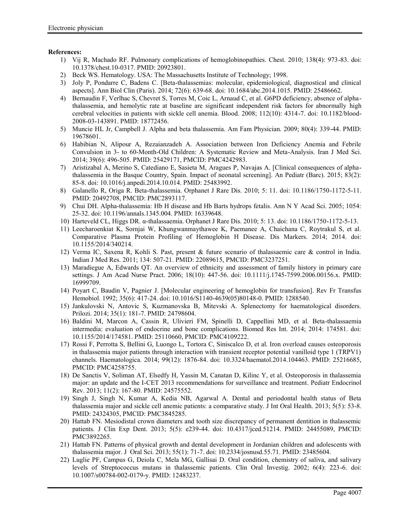# **References:**

- 1) Vij R, Machado RF. Pulmonary complications of hemoglobinopathies. Chest. 2010; 138(4): 973-83. doi: 10.1378/chest.10-0317. PMID: 20923801.
- 2) Beck WS. Hematology. USA: The Massachusetts Institute of Technology; 1998.
- 3) Joly P, Pondarre C, Badens C. [Beta-thalassemias: molecular, epidemiological, diagnostical and clinical aspects]. Ann Biol Clin (Paris). 2014; 72(6): 639-68. doi: 10.1684/abc.2014.1015. PMID: 25486662.
- 4) Bernaudin F, Verlhac S, Chevret S, Torres M, Coic L, Arnaud C, et al. G6PD deficiency, absence of alphathalassemia, and hemolytic rate at baseline are significant independent risk factors for abnormally high cerebral velocities in patients with sickle cell anemia. Blood. 2008; 112(10): 4314-7. doi: 10.1182/blood- 2008-03-143891. PMID: 18772456.
- 5) Muncie HL Jr, Campbell J. Alpha and beta thalassemia. Am Fam Physician. 2009; 80(4): 339-44. PMID: 19678601.
- 6) Habibian N, Alipour A, Rezaianzadeh A. Association between Iron Deficiency Anemia and Febrile Convulsion in 3- to 60-Month-Old Children: A Systematic Review and Meta-Analysis. Iran J Med Sci. 2014; 39(6): 496-505. PMID: 25429171, PMCID: PMC4242983.
- 7) Aristizabal A, Merino S, Catediano E, Sasieta M, Aragues P, Navajas A. [Clinical consequences of alphathalassemia in the Basque Country, Spain. Impact of neonatal screening]. An Pediatr (Barc). 2015; 83(2): 85-8. doi: 10.1016/j.anpedi.2014.10.014. PMID: 25483992.
- 8) Galanello R, Origa R. Beta-thalassemia. Orphanet J Rare Dis. 2010; 5: 11. doi: 10.1186/1750-1172-5-11. PMID: 20492708, PMCID: PMC2893117.
- 9) Chui DH. Alpha-thalassemia: Hb H disease and Hb Barts hydrops fetalis. Ann N Y Acad Sci. 2005; 1054: 25-32. doi: 10.1196/annals.1345.004. PMID: 16339648.
- 10) Harteveld CL, Higgs DR. α-thalassaemia. Orphanet J Rare Dis. 2010; 5: 13. doi: 10.1186/1750-1172-5-13.
- 11) Leecharoenkiat K, Sornjai W, Khungwanmaythawee K, Paemanee A, Chaichana C, Roytrakul S, et al. Comparative Plasma Protein Profiling of Hemoglobin H Disease. Dis Markers. 2014; 2014. doi: 10.1155/2014/340214.
- 12) Verma IC, Saxena R, Kohli S. Past, present & future scenario of thalassaemic care & control in India. Indian J Med Res. 2011; 134: 507-21. PMID: 22089615, PMCID: PMC3237251.
- 13) Maradiegue A, Edwards QT. An overview of ethnicity and assessment of family history in primary care settings. J Am Acad Nurse Pract. 2006; 18(10): 447-56. doi: 10.1111/j.1745-7599.2006.00156.x. PMID: 16999709.
- 14) Poyart C, Baudin V, Pagnier J. [Molecular engineering of hemoglobin for transfusion]. Rev Fr Transfus Hemobiol. 1992; 35(6): 417-24. doi: 10.1016/S1140-4639(05)80148-0. PMID: 1288540.
- 15) Jankulovski N, Antovic S, Kuzmanovska B, Mitevski A. Splenectomy for haematological disorders. Prilozi. 2014; 35(1): 181-7. PMID: 24798604.
- 16) Baldini M, Marcon A, Cassin R, Ulivieri FM, Spinelli D, Cappellini MD, et al. Beta-thalassaemia intermedia: evaluation of endocrine and bone complications. Biomed Res Int. 2014; 2014: 174581. doi: 10.1155/2014/174581. PMID: 25110660, PMCID: PMC4109222.
- 17) Rossi F, Perrotta S, Bellini G, Luongo L, Tortora C, Siniscalco D, et al. Iron overload causes osteoporosis in thalassemia major patients through interaction with transient receptor potential vanilloid type 1 (TRPV1) channels. Haematologica. 2014; 99(12): 1876-84. doi: 10.3324/haematol.2014.104463. PMID: 25216685, PMCID: PMC4258755.
- 18) De Sanctis V, Soliman AT, Elsedfy H, Yassin M, Canatan D, Kilinc Y, et al. Osteoporosis in thalassemia major: an update and the I-CET 2013 recommendations for surveillance and treatment. Pediatr Endocrinol Rev. 2013; 11(2): 167-80. PMID: 24575552.
- 19) Singh J, Singh N, Kumar A, Kedia NB, Agarwal A. Dental and periodontal health status of Beta thalassemia major and sickle cell anemic patients: a comparative study. J Int Oral Health. 2013; 5(5): 53-8. PMID: 24324305, PMCID: PMC3845285.
- 20) Hattab FN. Mesiodistal crown diameters and tooth size discrepancy of permanent dentition in thalassemic patients. J Clin Exp Dent. 2013; 5(5): e239-44. doi: 10.4317/jced.51214. PMID: 24455089, PMCID: PMC3892265.
- 21) Hattab FN. Patterns of physical growth and dental development in Jordanian children and adolescents with thalassemia major. J Oral Sci. 2013; 55(1): 71-7. doi: 10.2334/josnusd.55.71. PMID: 23485604.
- 22) Luglie PF, Campus G, Deiola C, Mela MG, Gallisai D. Oral condition, chemistry of saliva, and salivary levels of Streptococcus mutans in thalassemic patients. Clin Oral Investig. 2002; 6(4): 223-6. doi: 10.1007/s00784-002-0179-y. PMID: 12483237.